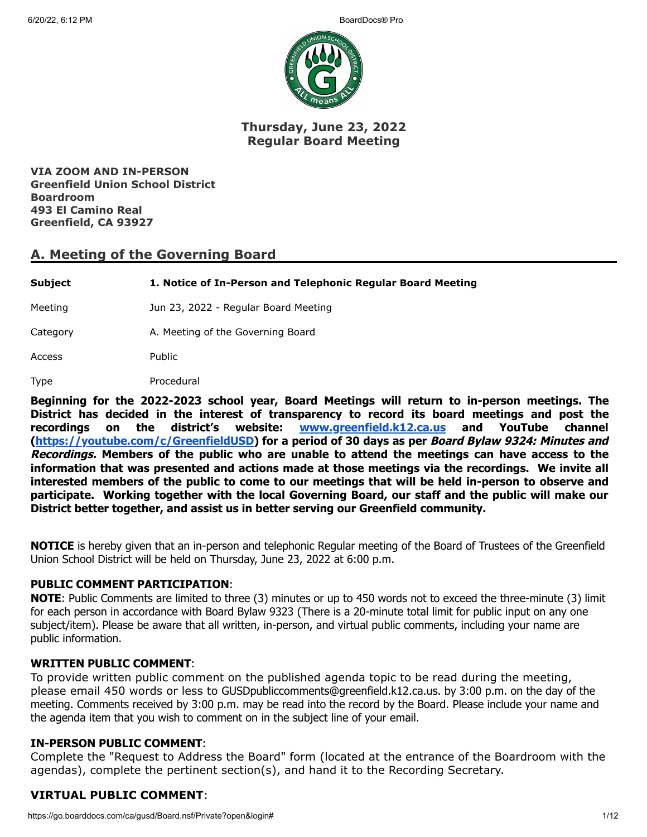

# **Thursday, June 23, 2022 Regular Board Meeting**

**VIA ZOOM AND IN-PERSON Greenfield Union School District Boardroom 493 El Camino Real Greenfield, CA 93927**

# **A. Meeting of the Governing Board**

Meeting **Jun 23, 2022 - Regular Board Meeting** 

**Subject 1. Notice of In-Person and Telephonic Regular Board Meeting**

Category **A. Meeting of the Governing Board** 

Access Public

Type Procedural

**Beginning for the 2022-2023 school year, Board Meetings will return to in-person meetings. The District has decided in the interest of transparency to record its board meetings and post the recordings on the district's website: [www.greenfield.k12.ca.us](http://www.greenfield.k12.ca.us/) and YouTube channel (<https://youtube.com/c/GreenfieldUSD>) for a period of 30 days as per Board Bylaw 9324: Minutes and Recordings. Members of the public who are unable to attend the meetings can have access to the information that was presented and actions made at those meetings via the recordings. We invite all interested members of the public to come to our meetings that will be held in-person to observe and participate. Working together with the local Governing Board, our staff and the public will make our District better together, and assist us in better serving our Greenfield community.**

**NOTICE** is hereby given that an in-person and telephonic Regular meeting of the Board of Trustees of the Greenfield Union School District will be held on Thursday, June 23, 2022 at 6:00 p.m.

## **PUBLIC COMMENT PARTICIPATION**:

**NOTE**: Public Comments are limited to three (3) minutes or up to 450 words not to exceed the three-minute (3) limit for each person in accordance with Board Bylaw 9323 (There is a 20-minute total limit for public input on any one subject/item). Please be aware that all written, in-person, and virtual public comments, including your name are public information.

## **WRITTEN PUBLIC COMMENT**:

To provide written public comment on the published agenda topic to be read during the meeting, please email 450 words or less to GUSDpubliccomments@greenfield.k12.ca.us. by 3:00 p.m. on the day of the meeting. Comments received by 3:00 p.m. may be read into the record by the Board. Please include your name and the agenda item that you wish to comment on in the subject line of your email.

## **IN-PERSON PUBLIC COMMENT**:

Complete the "Request to Address the Board" form (located at the entrance of the Boardroom with the agendas), complete the pertinent section(s), and hand it to the Recording Secretary.

# **VIRTUAL PUBLIC COMMENT**: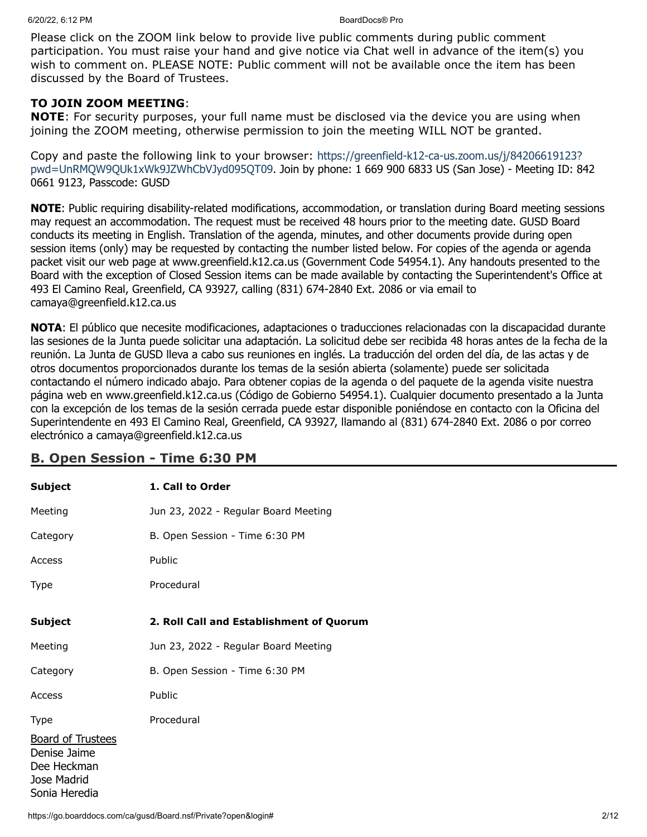Please click on the ZOOM link below to provide live public comments during public comment participation. You must raise your hand and give notice via Chat well in advance of the item(s) you wish to comment on. PLEASE NOTE: Public comment will not be available once the item has been discussed by the Board of Trustees.

## **TO JOIN ZOOM MEETING**:

**NOTE**: For security purposes, your full name must be disclosed via the device you are using when joining the ZOOM meeting, otherwise permission to join the meeting WILL NOT be granted.

Copy and paste the following link to your browser: https://greenfield-k12-ca-us.zoom.us/j/84206619123? [pwd=UnRMQW9QUk1xWk9JZWhCbVJyd095QT09. Join by phone: 1 669 900 6833 US \(San Jose\) -](https://www.google.com/url?q=https://greenfield-k12-ca-us.zoom.us/j/84206619123?pwd%3DUnRMQW9QUk1xWk9JZWhCbVJyd095QT09&sa=D&source=calendar&ust=1623806911820000&usg=AOvVaw3NMr61FQNhkPhpaDNknF69) Meeting ID: 842 0661 9123, Passcode: GUSD

**NOTE**: Public requiring disability-related modifications, accommodation, or translation during Board meeting sessions may request an accommodation. The request must be received 48 hours prior to the meeting date. GUSD Board conducts its meeting in English. Translation of the agenda, minutes, and other documents provide during open session items (only) may be requested by contacting the number listed below. For copies of the agenda or agenda packet visit our web page at www.greenfield.k12.ca.us (Government Code 54954.1). Any handouts presented to the Board with the exception of Closed Session items can be made available by contacting the Superintendent's Office at 493 El Camino Real, Greenfield, CA 93927, calling (831) 674-2840 Ext. 2086 or via email to camaya@greenfield.k12.ca.us

**NOTA**: El público que necesite modificaciones, adaptaciones o traducciones relacionadas con la discapacidad durante las sesiones de la Junta puede solicitar una adaptación. La solicitud debe ser recibida 48 horas antes de la fecha de la reunión. La Junta de GUSD lleva a cabo sus reuniones en inglés. La traducción del orden del día, de las actas y de otros documentos proporcionados durante los temas de la sesión abierta (solamente) puede ser solicitada contactando el número indicado abajo. Para obtener copias de la agenda o del paquete de la agenda visite nuestra página web en www.greenfield.k12.ca.us (Código de Gobierno 54954.1). Cualquier documento presentado a la Junta con la excepción de los temas de la sesión cerrada puede estar disponible poniéndose en contacto con la Oficina del Superintendente en 493 El Camino Real, Greenfield, CA 93927, llamando al (831) 674-2840 Ext. 2086 o por correo electrónico a camaya@greenfield.k12.ca.us

| <b>Subject</b>                                                                          | 1. Call to Order                         |
|-----------------------------------------------------------------------------------------|------------------------------------------|
| Meeting                                                                                 | Jun 23, 2022 - Regular Board Meeting     |
| Category                                                                                | B. Open Session - Time 6:30 PM           |
| Access                                                                                  | Public                                   |
| Type                                                                                    | Procedural                               |
|                                                                                         |                                          |
| <b>Subject</b>                                                                          | 2. Roll Call and Establishment of Quorum |
| Meeting                                                                                 | Jun 23, 2022 - Regular Board Meeting     |
| Category                                                                                | B. Open Session - Time 6:30 PM           |
| Access                                                                                  | Public                                   |
| <b>Type</b>                                                                             | Procedural                               |
| <b>Board of Trustees</b><br>Denise Jaime<br>Dee Heckman<br>Jose Madrid<br>Sonia Heredia |                                          |

# **B. Open Session - Time 6:30 PM**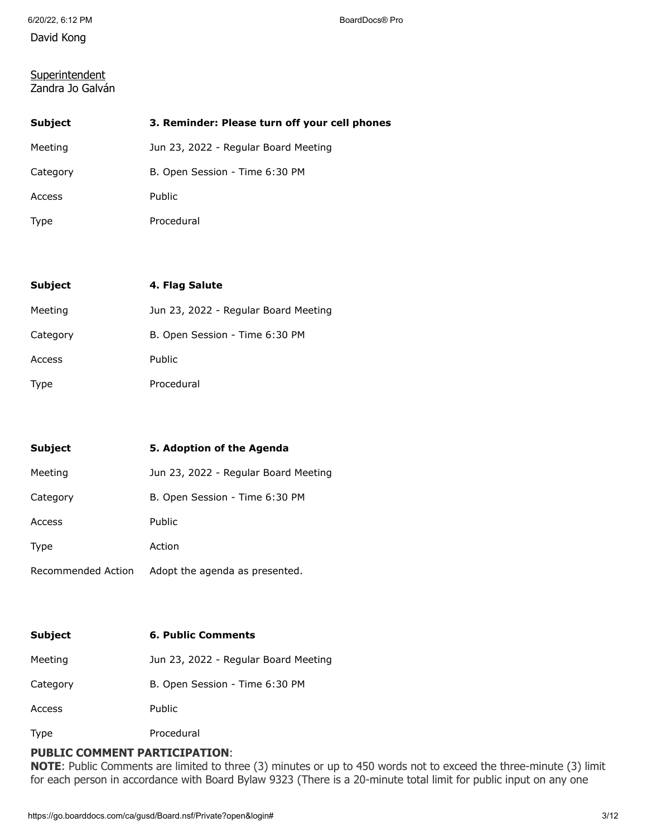#### **Superintendent** Zandra Jo Galván

| <b>Subject</b> | 3. Reminder: Please turn off your cell phones |
|----------------|-----------------------------------------------|
| Meeting        | Jun 23, 2022 - Regular Board Meeting          |
| Category       | B. Open Session - Time 6:30 PM                |
| Access         | <b>Public</b>                                 |
| Type           | Procedural                                    |

| <b>Subject</b> | 4. Flag Salute                       |
|----------------|--------------------------------------|
| Meeting        | Jun 23, 2022 - Regular Board Meeting |
| Category       | B. Open Session - Time 6:30 PM       |
| Access         | Public                               |
| Type           | Procedural                           |

| <b>Subject</b>     | 5. Adoption of the Agenda            |
|--------------------|--------------------------------------|
| Meeting            | Jun 23, 2022 - Regular Board Meeting |
| Category           | B. Open Session - Time 6:30 PM       |
| Access             | Public                               |
| <b>Type</b>        | Action                               |
| Recommended Action | Adopt the agenda as presented.       |

| <b>Subject</b> | <b>6. Public Comments</b>            |
|----------------|--------------------------------------|
| Meeting        | Jun 23, 2022 - Regular Board Meeting |
| Category       | B. Open Session - Time 6:30 PM       |
| Access         | Public                               |
| Type           | Procedural                           |

### **PUBLIC COMMENT PARTICIPATION**:

**NOTE**: Public Comments are limited to three (3) minutes or up to 450 words not to exceed the three-minute (3) limit for each person in accordance with Board Bylaw 9323 (There is a 20-minute total limit for public input on any one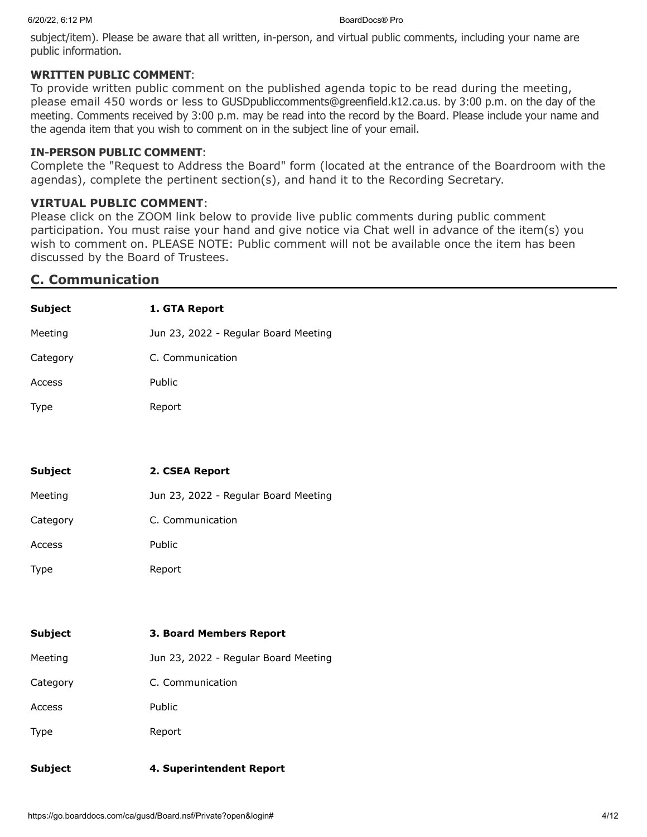subject/item). Please be aware that all written, in-person, and virtual public comments, including your name are public information.

## **WRITTEN PUBLIC COMMENT**:

To provide written public comment on the published agenda topic to be read during the meeting, please email 450 words or less to GUSDpubliccomments@greenfield.k12.ca.us. by 3:00 p.m. on the day of the meeting. Comments received by 3:00 p.m. may be read into the record by the Board. Please include your name and the agenda item that you wish to comment on in the subject line of your email.

## **IN-PERSON PUBLIC COMMENT**:

Complete the "Request to Address the Board" form (located at the entrance of the Boardroom with the agendas), complete the pertinent section(s), and hand it to the Recording Secretary.

# **VIRTUAL PUBLIC COMMENT**:

Please click on the ZOOM link below to provide live public comments during public comment participation. You must raise your hand and give notice via Chat well in advance of the item(s) you wish to comment on. PLEASE NOTE: Public comment will not be available once the item has been discussed by the Board of Trustees.

# **C. Communication**

| 1. GTA Report                        |
|--------------------------------------|
| Jun 23, 2022 - Regular Board Meeting |
| C. Communication                     |
| Public                               |
| Report                               |
|                                      |
| 2. CSEA Report                       |
| Jun 23, 2022 - Regular Board Meeting |
| C. Communication                     |
| Public                               |
| Report                               |
|                                      |
| 3. Board Members Report              |
| Jun 23, 2022 - Regular Board Meeting |
| C. Communication                     |
| Public                               |
|                                      |
| Report                               |
|                                      |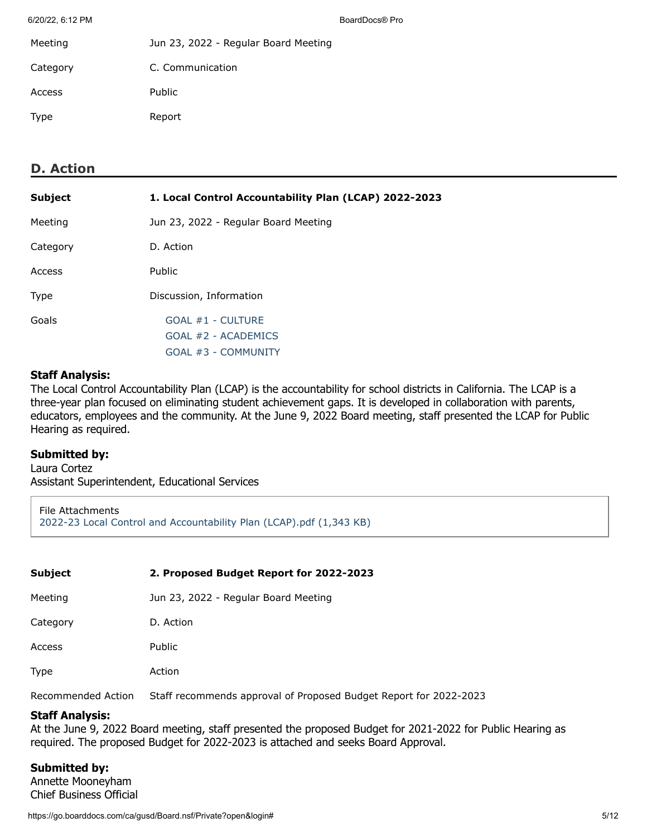| Meeting  | Jun 23, 2022 - Regular Board Meeting |
|----------|--------------------------------------|
| Category | C. Communication                     |
| Access   | <b>Public</b>                        |
| Type     | Report                               |

# **D. Action**

| <b>Subject</b> | 1. Local Control Accountability Plan (LCAP) 2022-2023             |
|----------------|-------------------------------------------------------------------|
| Meeting        | Jun 23, 2022 - Regular Board Meeting                              |
| Category       | D. Action                                                         |
| Access         | Public                                                            |
| <b>Type</b>    | Discussion, Information                                           |
| Goals          | $GOAL #1 - CULTURE$<br>GOAL #2 - ACADEMICS<br>GOAL #3 - COMMUNITY |

### **Staff Analysis:**

The Local Control Accountability Plan (LCAP) is the accountability for school districts in California. The LCAP is a three-year plan focused on eliminating student achievement gaps. It is developed in collaboration with parents, educators, employees and the community. At the June 9, 2022 Board meeting, staff presented the LCAP for Public Hearing as required.

#### **Submitted by:**

Laura Cortez Assistant Superintendent, Educational Services

File Attachments [2022-23 Local Control and Accountability Plan \(LCAP\).pdf \(1,343 KB\)](https://go.boarddocs.com/ca/gusd/Board.nsf/files/CFL3FT06B3F5/$file/2022-23%20Local%20Control%20and%20Accountability%20Plan%20(LCAP).pdf)

# **Subject 2. Proposed Budget Report for 2022-2023** Meeting Jun 23, 2022 - Regular Board Meeting

| .        | $3011$ $-57$ $-52$ $-5$ $-729$ $-70$ |
|----------|--------------------------------------|
| Category | D. Action                            |
| Access   | Public                               |
| Type     | Action                               |

Recommended Action Staff recommends approval of Proposed Budget Report for 2022-2023

## **Staff Analysis:**

At the June 9, 2022 Board meeting, staff presented the proposed Budget for 2021-2022 for Public Hearing as required. The proposed Budget for 2022-2023 is attached and seeks Board Approval.

## **Submitted by:**

Annette Mooneyham Chief Business Official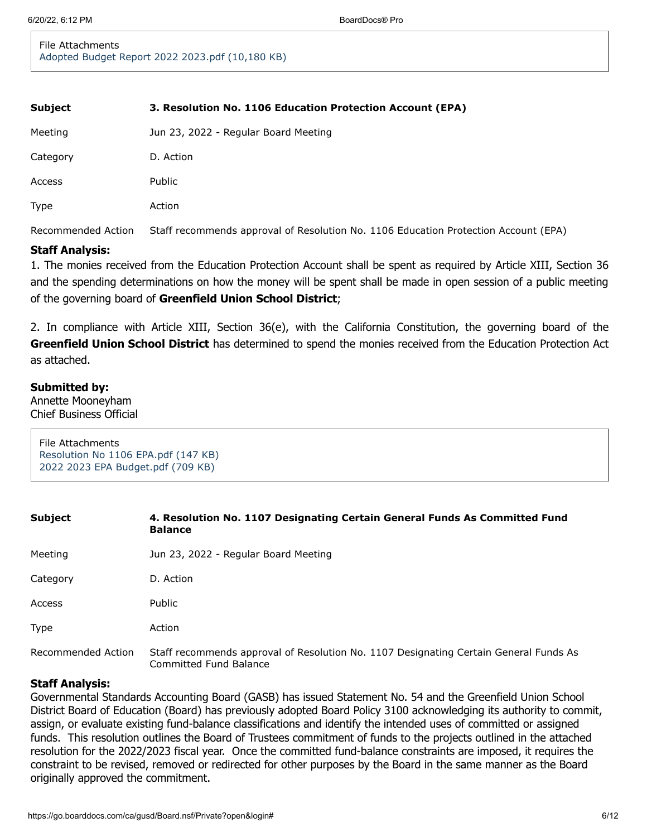File Attachments [Adopted Budget Report 2022 2023.pdf \(10,180 KB\)](https://go.boarddocs.com/ca/gusd/Board.nsf/files/CFEN8F5A05A8/$file/Adopted%20Budget%20Report%202022%202023.pdf)

| <b>Subject</b>     | 3. Resolution No. 1106 Education Protection Account (EPA)                           |
|--------------------|-------------------------------------------------------------------------------------|
| Meeting            | Jun 23, 2022 - Regular Board Meeting                                                |
| Category           | D. Action                                                                           |
| Access             | Public                                                                              |
| Type               | Action                                                                              |
| Recommended Action | Staff recommends approval of Resolution No. 1106 Education Protection Account (EPA) |

#### **Staff Analysis:**

1. The monies received from the Education Protection Account shall be spent as required by Article XIII, Section 36 and the spending determinations on how the money will be spent shall be made in open session of a public meeting of the governing board of **Greenfield Union School District**;

2. In compliance with Article XIII, Section 36(e), with the California Constitution, the governing board of the **Greenfield Union School District** has determined to spend the monies received from the Education Protection Act as attached.

#### **Submitted by:**

Annette Mooneyham Chief Business Official

File Attachments [Resolution No 1106 EPA.pdf \(147 KB\)](https://go.boarddocs.com/ca/gusd/Board.nsf/files/CFESL472ED1E/$file/Resolution%20No%201106%20EPA.pdf) [2022 2023 EPA Budget.pdf \(709 KB\)](https://go.boarddocs.com/ca/gusd/Board.nsf/files/CFENBK5AAFCF/$file/2022%202023%20EPA%20Budget.pdf)

| Subject            | 4. Resolution No. 1107 Designating Certain General Funds As Committed Fund<br><b>Balance</b>                           |
|--------------------|------------------------------------------------------------------------------------------------------------------------|
| Meeting            | Jun 23, 2022 - Regular Board Meeting                                                                                   |
| Category           | D. Action                                                                                                              |
| <b>Access</b>      | <b>Public</b>                                                                                                          |
| Type               | Action                                                                                                                 |
| Recommended Action | Staff recommends approval of Resolution No. 1107 Designating Certain General Funds As<br><b>Committed Fund Balance</b> |

#### **Staff Analysis:**

Governmental Standards Accounting Board (GASB) has issued Statement No. 54 and the Greenfield Union School District Board of Education (Board) has previously adopted Board Policy 3100 acknowledging its authority to commit, assign, or evaluate existing fund-balance classifications and identify the intended uses of committed or assigned funds. This resolution outlines the Board of Trustees commitment of funds to the projects outlined in the attached resolution for the 2022/2023 fiscal year. Once the committed fund-balance constraints are imposed, it requires the constraint to be revised, removed or redirected for other purposes by the Board in the same manner as the Board originally approved the commitment.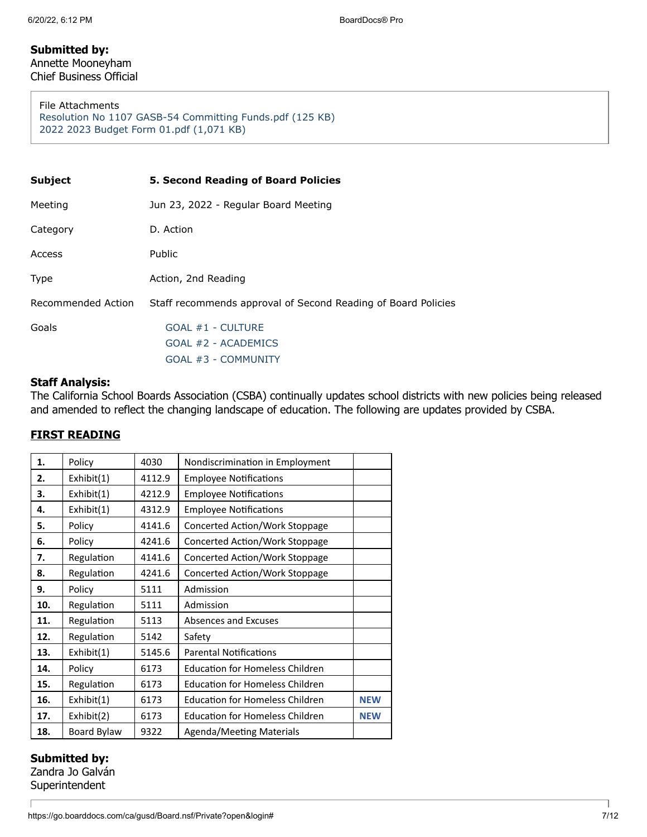#### **Submitted by:** Annette Mooneyham Chief Business Official

## File Attachments

[Resolution No 1107 GASB-54 Committing Funds.pdf \(125 KB\)](https://go.boarddocs.com/ca/gusd/Board.nsf/files/CFEMTG580B0F/$file/Resolution%20No%201107%20GASB-54%20Committing%20Funds.pdf) [2022 2023 Budget Form 01.pdf \(1,071 KB\)](https://go.boarddocs.com/ca/gusd/Board.nsf/files/CFESGW725BE0/$file/2022%202023%20Budget%20Form%2001.pdf)

| <b>Subject</b>     | 5. Second Reading of Board Policies                               |
|--------------------|-------------------------------------------------------------------|
| Meeting            | Jun 23, 2022 - Regular Board Meeting                              |
| Category           | D. Action                                                         |
| Access             | Public                                                            |
| Type               | Action, 2nd Reading                                               |
| Recommended Action | Staff recommends approval of Second Reading of Board Policies     |
| Goals              | GOAL #1 - CULTURE<br>$GOAL #2 - ACADEMICS$<br>GOAL #3 - COMMUNITY |

#### **Staff Analysis:**

The California School Boards Association (CSBA) continually updates school districts with new policies being released and amended to reflect the changing landscape of education. The following are updates provided by CSBA.

| 1.  | Policy             | 4030   | Nondiscrimination in Employment        |            |
|-----|--------------------|--------|----------------------------------------|------------|
| 2.  | Exhibit(1)         | 4112.9 | <b>Employee Notifications</b>          |            |
| 3.  | Exhibit(1)         | 4212.9 | <b>Employee Notifications</b>          |            |
| 4.  | Exhibit(1)         | 4312.9 | <b>Employee Notifications</b>          |            |
| 5.  | Policy             | 4141.6 | Concerted Action/Work Stoppage         |            |
| 6.  | Policy             | 4241.6 | Concerted Action/Work Stoppage         |            |
| 7.  | Regulation         | 4141.6 | Concerted Action/Work Stoppage         |            |
| 8.  | Regulation         | 4241.6 | Concerted Action/Work Stoppage         |            |
| 9.  | Policy             | 5111   | Admission                              |            |
| 10. | Regulation         | 5111   | Admission                              |            |
| 11. | Regulation         | 5113   | <b>Absences and Excuses</b>            |            |
| 12. | Regulation         | 5142   | Safety                                 |            |
| 13. | Exhibit(1)         | 5145.6 | <b>Parental Notifications</b>          |            |
| 14. | Policy             | 6173   | <b>Education for Homeless Children</b> |            |
| 15. | Regulation         | 6173   | <b>Education for Homeless Children</b> |            |
| 16. | Exhibit(1)         | 6173   | <b>Education for Homeless Children</b> | <b>NEW</b> |
| 17. | Exhibit(2)         | 6173   | <b>Education for Homeless Children</b> | <b>NEW</b> |
| 18. | <b>Board Bylaw</b> | 9322   | Agenda/Meeting Materials               |            |

## **FIRST READING**

**Submitted by:** Zandra Jo Galván Superintendent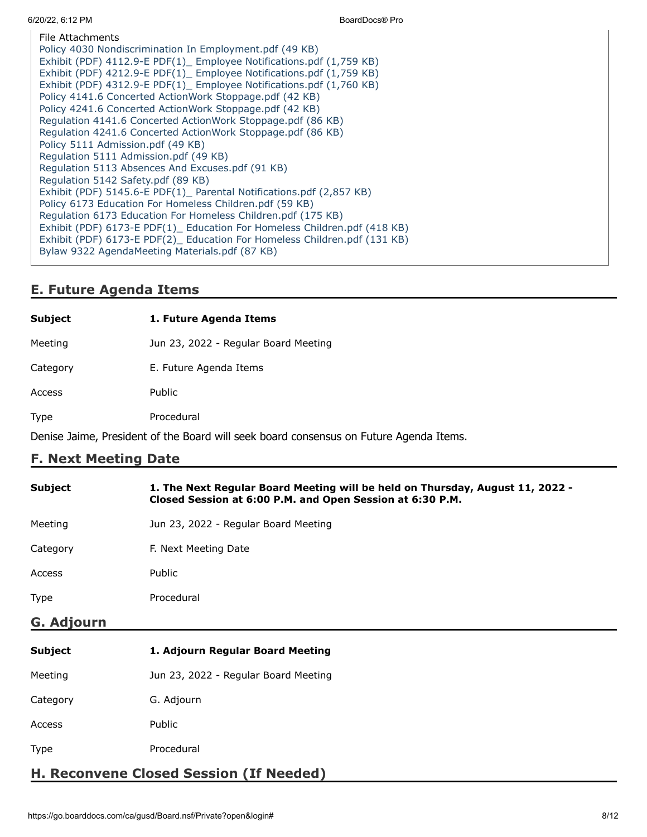6/20/22, 6:12 PM BoardDocs® Pro

File Attachments [Policy 4030 Nondiscrimination In Employment.pdf \(49 KB\)](https://go.boarddocs.com/ca/gusd/Board.nsf/files/CFENFJ5B4F03/$file/Policy%204030%20Nondiscrimination%20In%20Employment.pdf) [Exhibit \(PDF\) 4112.9-E PDF\(1\)\\_ Employee Notifications.pdf \(1,759 KB\)](https://go.boarddocs.com/ca/gusd/Board.nsf/files/CFENFM5B4F07/$file/Exhibit%20(PDF)%204112.9-E%20PDF(1)_%20Employee%20Notifications.pdf) [Exhibit \(PDF\) 4212.9-E PDF\(1\)\\_ Employee Notifications.pdf \(1,759 KB\)](https://go.boarddocs.com/ca/gusd/Board.nsf/files/CFENFQ5B4F0C/$file/Exhibit%20(PDF)%204212.9-E%20PDF(1)_%20Employee%20Notifications.pdf) [Exhibit \(PDF\) 4312.9-E PDF\(1\)\\_ Employee Notifications.pdf \(1,760 KB\)](https://go.boarddocs.com/ca/gusd/Board.nsf/files/CFENFT5B4F10/$file/Exhibit%20(PDF)%204312.9-E%20PDF(1)_%20Employee%20Notifications.pdf) [Policy 4141.6 Concerted ActionWork Stoppage.pdf \(42 KB\)](https://go.boarddocs.com/ca/gusd/Board.nsf/files/CFENFW5B4F13/$file/Policy%204141.6%20Concerted%20ActionWork%20Stoppage.pdf) [Policy 4241.6 Concerted ActionWork Stoppage.pdf \(42 KB\)](https://go.boarddocs.com/ca/gusd/Board.nsf/files/CFENFZ5B4F14/$file/Policy%204241.6%20Concerted%20ActionWork%20Stoppage.pdf) [Regulation 4141.6 Concerted ActionWork Stoppage.pdf \(86 KB\)](https://go.boarddocs.com/ca/gusd/Board.nsf/files/CFENG45B4F16/$file/Regulation%204141.6%20Concerted%20ActionWork%20Stoppage.pdf) [Regulation 4241.6 Concerted ActionWork Stoppage.pdf \(86 KB\)](https://go.boarddocs.com/ca/gusd/Board.nsf/files/CFENG75B4F17/$file/Regulation%204241.6%20Concerted%20ActionWork%20Stoppage.pdf) [Policy 5111 Admission.pdf \(49 KB\)](https://go.boarddocs.com/ca/gusd/Board.nsf/files/CFENGA5B4F1A/$file/Policy%205111%20Admission.pdf) [Regulation 5111 Admission.pdf \(49 KB\)](https://go.boarddocs.com/ca/gusd/Board.nsf/files/CFENGD5B4F1B/$file/Regulation%205111%20Admission.pdf) [Regulation 5113 Absences And Excuses.pdf \(91 KB\)](https://go.boarddocs.com/ca/gusd/Board.nsf/files/CFENGG5B4F1C/$file/Regulation%205113%20Absences%20And%20Excuses.pdf) [Regulation 5142 Safety.pdf \(89 KB\)](https://go.boarddocs.com/ca/gusd/Board.nsf/files/CFENGK5B4F1D/$file/Regulation%205142%20Safety.pdf) [Exhibit \(PDF\) 5145.6-E PDF\(1\)\\_ Parental Notifications.pdf \(2,857 KB\)](https://go.boarddocs.com/ca/gusd/Board.nsf/files/CFENGN5B4F21/$file/Exhibit%20(PDF)%205145.6-E%20PDF(1)_%20Parental%20Notifications.pdf) [Policy 6173 Education For Homeless Children.pdf \(59 KB\)](https://go.boarddocs.com/ca/gusd/Board.nsf/files/CFENGR5B4F30/$file/Policy%206173%20Education%20For%20Homeless%20Children.pdf) [Regulation 6173 Education For Homeless Children.pdf \(175 KB\)](https://go.boarddocs.com/ca/gusd/Board.nsf/files/CFENGU5B4F34/$file/Regulation%206173%20Education%20For%20Homeless%20Children.pdf) [Exhibit \(PDF\) 6173-E PDF\(1\)\\_ Education For Homeless Children.pdf \(418 KB\)](https://go.boarddocs.com/ca/gusd/Board.nsf/files/CFENGX5B4F35/$file/Exhibit%20(PDF)%206173-E%20PDF(1)_%20Education%20For%20Homeless%20Children.pdf) [Exhibit \(PDF\) 6173-E PDF\(2\)\\_ Education For Homeless Children.pdf \(131 KB\)](https://go.boarddocs.com/ca/gusd/Board.nsf/files/CFENH25B4F37/$file/Exhibit%20(PDF)%206173-E%20PDF(2)_%20Education%20For%20Homeless%20Children.pdf) [Bylaw 9322 AgendaMeeting Materials.pdf \(87 KB\)](https://go.boarddocs.com/ca/gusd/Board.nsf/files/CFENH55B4F38/$file/Bylaw%209322%20AgendaMeeting%20Materials.pdf)

# **E. Future Agenda Items**

| <b>Subject</b> | 1. Future Agenda Items               |
|----------------|--------------------------------------|
| Meeting        | Jun 23, 2022 - Regular Board Meeting |
| Category       | E. Future Agenda Items               |
| Access         | Public                               |
| Type           | Procedural                           |
|                |                                      |

Denise Jaime, President of the Board will seek board consensus on Future Agenda Items.

# **F. Next Meeting Date**

| <b>Subject</b> | 1. The Next Regular Board Meeting will be held on Thursday, August 11, 2022 -<br>Closed Session at 6:00 P.M. and Open Session at 6:30 P.M. |  |
|----------------|--------------------------------------------------------------------------------------------------------------------------------------------|--|
| Meeting        | Jun 23, 2022 - Regular Board Meeting                                                                                                       |  |
| Category       | F. Next Meeting Date                                                                                                                       |  |
| Access         | Public                                                                                                                                     |  |
| Type           | Procedural                                                                                                                                 |  |
| G. Adjourn     |                                                                                                                                            |  |
| <b>Subject</b> | 1. Adjourn Regular Board Meeting                                                                                                           |  |
| Meeting        | Jun 23, 2022 - Regular Board Meeting                                                                                                       |  |
| Category       | G. Adjourn                                                                                                                                 |  |
| Access         | Public                                                                                                                                     |  |

# **H. Reconvene Closed Session (If Needed)**

Type Procedural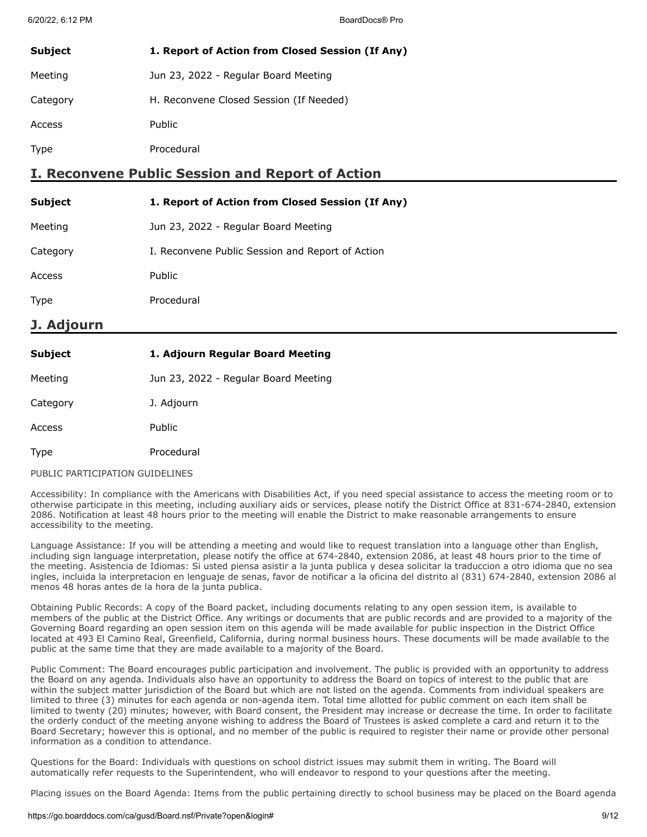| <b>Subject</b> | 1. Report of Action from Closed Session (If Any) |
|----------------|--------------------------------------------------|
| Meeting        | Jun 23, 2022 - Regular Board Meeting             |
| Category       | H. Reconvene Closed Session (If Needed)          |
| Access         | Public                                           |
| <b>Type</b>    | Procedural                                       |

## **I. Reconvene Public Session and Report of Action**

| <b>Subject</b> | 1. Report of Action from Closed Session (If Any) |
|----------------|--------------------------------------------------|
| Meeting        | Jun 23, 2022 - Regular Board Meeting             |
| Category       | I. Reconvene Public Session and Report of Action |
| Access         | <b>Public</b>                                    |
| Type           | Procedural                                       |

**J. Adjourn**

| <b>Subject</b> | 1. Adjourn Regular Board Meeting     |
|----------------|--------------------------------------|
| Meeting        | Jun 23, 2022 - Regular Board Meeting |
| Category       | J. Adjourn                           |
| Access         | Public                               |
| Type           | Procedural                           |

PUBLIC PARTICIPATION GUIDELINES

Accessibility: In compliance with the Americans with Disabilities Act, if you need special assistance to access the meeting room or to otherwise participate in this meeting, including auxiliary aids or services, please notify the District Office at 831-674-2840, extension 2086. Notification at least 48 hours prior to the meeting will enable the District to make reasonable arrangements to ensure accessibility to the meeting.

Language Assistance: If you will be attending a meeting and would like to request translation into a language other than English, including sign language interpretation, please notify the office at 674-2840, extension 2086, at least 48 hours prior to the time of the meeting. Asistencia de Idiomas: Si usted piensa asistir a la junta publica y desea solicitar la traduccion a otro idioma que no sea ingles, incluida la interpretacion en lenguaje de senas, favor de notificar a la oficina del distrito al (831) 674-2840, extension 2086 al menos 48 horas antes de la hora de la junta publica.

Obtaining Public Records: A copy of the Board packet, including documents relating to any open session item, is available to members of the public at the District Office. Any writings or documents that are public records and are provided to a majority of the Governing Board regarding an open session item on this agenda will be made available for public inspection in the District Office located at 493 El Camino Real, Greenfield, California, during normal business hours. These documents will be made available to the public at the same time that they are made available to a majority of the Board.

Public Comment: The Board encourages public participation and involvement. The public is provided with an opportunity to address the Board on any agenda. Individuals also have an opportunity to address the Board on topics of interest to the public that are within the subject matter jurisdiction of the Board but which are not listed on the agenda. Comments from individual speakers are limited to three (3) minutes for each agenda or non-agenda item. Total time allotted for public comment on each item shall be limited to twenty (20) minutes; however, with Board consent, the President may increase or decrease the time. In order to facilitate the orderly conduct of the meeting anyone wishing to address the Board of Trustees is asked complete a card and return it to the Board Secretary; however this is optional, and no member of the public is required to register their name or provide other personal information as a condition to attendance.

Questions for the Board: Individuals with questions on school district issues may submit them in writing. The Board will automatically refer requests to the Superintendent, who will endeavor to respond to your questions after the meeting.

Placing issues on the Board Agenda: Items from the public pertaining directly to school business may be placed on the Board agenda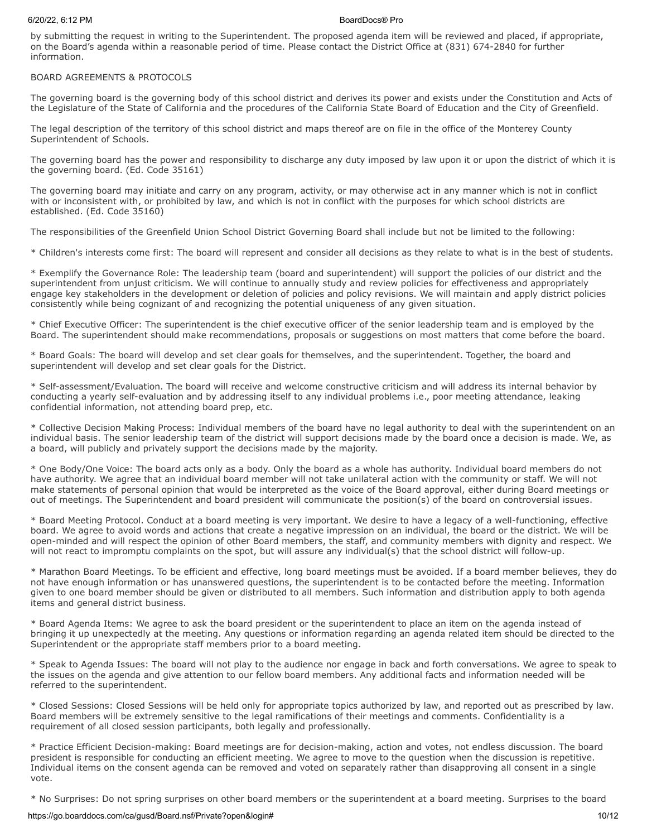#### 6/20/22, 6:12 PM BoardDocs® Pro

by submitting the request in writing to the Superintendent. The proposed agenda item will be reviewed and placed, if appropriate, on the Board's agenda within a reasonable period of time. Please contact the District Office at (831) 674-2840 for further information.

#### BOARD AGREEMENTS & PROTOCOLS

The governing board is the governing body of this school district and derives its power and exists under the Constitution and Acts of the Legislature of the State of California and the procedures of the California State Board of Education and the City of Greenfield.

The legal description of the territory of this school district and maps thereof are on file in the office of the Monterey County Superintendent of Schools.

The governing board has the power and responsibility to discharge any duty imposed by law upon it or upon the district of which it is the governing board. (Ed. Code 35161)

The governing board may initiate and carry on any program, activity, or may otherwise act in any manner which is not in conflict with or inconsistent with, or prohibited by law, and which is not in conflict with the purposes for which school districts are established. (Ed. Code 35160)

The responsibilities of the Greenfield Union School District Governing Board shall include but not be limited to the following:

\* Children's interests come first: The board will represent and consider all decisions as they relate to what is in the best of students.

\* Exemplify the Governance Role: The leadership team (board and superintendent) will support the policies of our district and the superintendent from unjust criticism. We will continue to annually study and review policies for effectiveness and appropriately engage key stakeholders in the development or deletion of policies and policy revisions. We will maintain and apply district policies consistently while being cognizant of and recognizing the potential uniqueness of any given situation.

\* Chief Executive Officer: The superintendent is the chief executive officer of the senior leadership team and is employed by the Board. The superintendent should make recommendations, proposals or suggestions on most matters that come before the board.

\* Board Goals: The board will develop and set clear goals for themselves, and the superintendent. Together, the board and superintendent will develop and set clear goals for the District.

\* Self-assessment/Evaluation. The board will receive and welcome constructive criticism and will address its internal behavior by conducting a yearly self-evaluation and by addressing itself to any individual problems i.e., poor meeting attendance, leaking confidential information, not attending board prep, etc.

\* Collective Decision Making Process: Individual members of the board have no legal authority to deal with the superintendent on an individual basis. The senior leadership team of the district will support decisions made by the board once a decision is made. We, as a board, will publicly and privately support the decisions made by the majority.

\* One Body/One Voice: The board acts only as a body. Only the board as a whole has authority. Individual board members do not have authority. We agree that an individual board member will not take unilateral action with the community or staff. We will not make statements of personal opinion that would be interpreted as the voice of the Board approval, either during Board meetings or out of meetings. The Superintendent and board president will communicate the position(s) of the board on controversial issues.

\* Board Meeting Protocol. Conduct at a board meeting is very important. We desire to have a legacy of a well-functioning, effective board. We agree to avoid words and actions that create a negative impression on an individual, the board or the district. We will be open-minded and will respect the opinion of other Board members, the staff, and community members with dignity and respect. We will not react to impromptu complaints on the spot, but will assure any individual(s) that the school district will follow-up.

\* Marathon Board Meetings. To be efficient and effective, long board meetings must be avoided. If a board member believes, they do not have enough information or has unanswered questions, the superintendent is to be contacted before the meeting. Information given to one board member should be given or distributed to all members. Such information and distribution apply to both agenda items and general district business.

\* Board Agenda Items: We agree to ask the board president or the superintendent to place an item on the agenda instead of bringing it up unexpectedly at the meeting. Any questions or information regarding an agenda related item should be directed to the Superintendent or the appropriate staff members prior to a board meeting.

\* Speak to Agenda Issues: The board will not play to the audience nor engage in back and forth conversations. We agree to speak to the issues on the agenda and give attention to our fellow board members. Any additional facts and information needed will be referred to the superintendent.

\* Closed Sessions: Closed Sessions will be held only for appropriate topics authorized by law, and reported out as prescribed by law. Board members will be extremely sensitive to the legal ramifications of their meetings and comments. Confidentiality is a requirement of all closed session participants, both legally and professionally.

\* Practice Efficient Decision-making: Board meetings are for decision-making, action and votes, not endless discussion. The board president is responsible for conducting an efficient meeting. We agree to move to the question when the discussion is repetitive. Individual items on the consent agenda can be removed and voted on separately rather than disapproving all consent in a single vote.

\* No Surprises: Do not spring surprises on other board members or the superintendent at a board meeting. Surprises to the board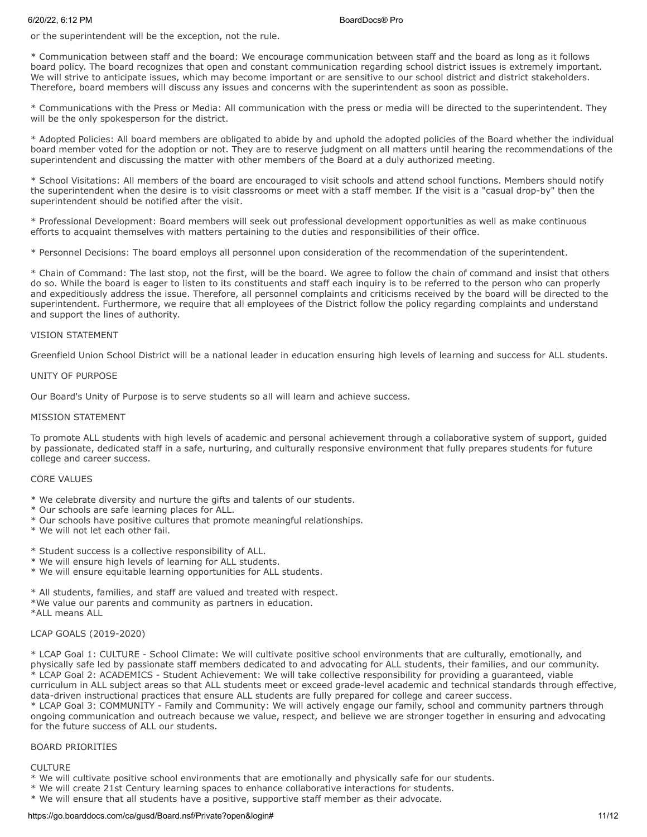or the superintendent will be the exception, not the rule.

\* Communication between staff and the board: We encourage communication between staff and the board as long as it follows board policy. The board recognizes that open and constant communication regarding school district issues is extremely important. We will strive to anticipate issues, which may become important or are sensitive to our school district and district stakeholders. Therefore, board members will discuss any issues and concerns with the superintendent as soon as possible.

\* Communications with the Press or Media: All communication with the press or media will be directed to the superintendent. They will be the only spokesperson for the district.

\* Adopted Policies: All board members are obligated to abide by and uphold the adopted policies of the Board whether the individual board member voted for the adoption or not. They are to reserve judgment on all matters until hearing the recommendations of the superintendent and discussing the matter with other members of the Board at a duly authorized meeting.

\* School Visitations: All members of the board are encouraged to visit schools and attend school functions. Members should notify the superintendent when the desire is to visit classrooms or meet with a staff member. If the visit is a "casual drop-by" then the superintendent should be notified after the visit.

\* Professional Development: Board members will seek out professional development opportunities as well as make continuous efforts to acquaint themselves with matters pertaining to the duties and responsibilities of their office.

\* Personnel Decisions: The board employs all personnel upon consideration of the recommendation of the superintendent.

\* Chain of Command: The last stop, not the first, will be the board. We agree to follow the chain of command and insist that others do so. While the board is eager to listen to its constituents and staff each inquiry is to be referred to the person who can properly and expeditiously address the issue. Therefore, all personnel complaints and criticisms received by the board will be directed to the superintendent. Furthermore, we require that all employees of the District follow the policy regarding complaints and understand and support the lines of authority.

#### VISION STATEMENT

Greenfield Union School District will be a national leader in education ensuring high levels of learning and success for ALL students.

#### UNITY OF PURPOSE

Our Board's Unity of Purpose is to serve students so all will learn and achieve success.

#### MISSION STATEMENT

To promote ALL students with high levels of academic and personal achievement through a collaborative system of support, guided by passionate, dedicated staff in a safe, nurturing, and culturally responsive environment that fully prepares students for future college and career success.

#### CORE VALUES

- \* We celebrate diversity and nurture the gifts and talents of our students.
- \* Our schools are safe learning places for ALL.
- \* Our schools have positive cultures that promote meaningful relationships.
- \* We will not let each other fail.

\* Student success is a collective responsibility of ALL.

- \* We will ensure high levels of learning for ALL students.
- \* We will ensure equitable learning opportunities for ALL students.

\* All students, families, and staff are valued and treated with respect.

\*We value our parents and community as partners in education.

\*ALL means ALL

#### LCAP GOALS (2019-2020)

\* LCAP Goal 1: CULTURE - School Climate: We will cultivate positive school environments that are culturally, emotionally, and physically safe led by passionate staff members dedicated to and advocating for ALL students, their families, and our community. \* LCAP Goal 2: ACADEMICS - Student Achievement: We will take collective responsibility for providing a guaranteed, viable curriculum in ALL subject areas so that ALL students meet or exceed grade-level academic and technical standards through effective, data-driven instructional practices that ensure ALL students are fully prepared for college and career success.

\* LCAP Goal 3: COMMUNITY - Family and Community: We will actively engage our family, school and community partners through ongoing communication and outreach because we value, respect, and believe we are stronger together in ensuring and advocating for the future success of ALL our students.

#### BOARD PRIORITIES

CULTURE

- \* We will cultivate positive school environments that are emotionally and physically safe for our students.
- \* We will create 21st Century learning spaces to enhance collaborative interactions for students.
- \* We will ensure that all students have a positive, supportive staff member as their advocate.

#### https://go.boarddocs.com/ca/gusd/Board.nsf/Private?open&login# 11/12